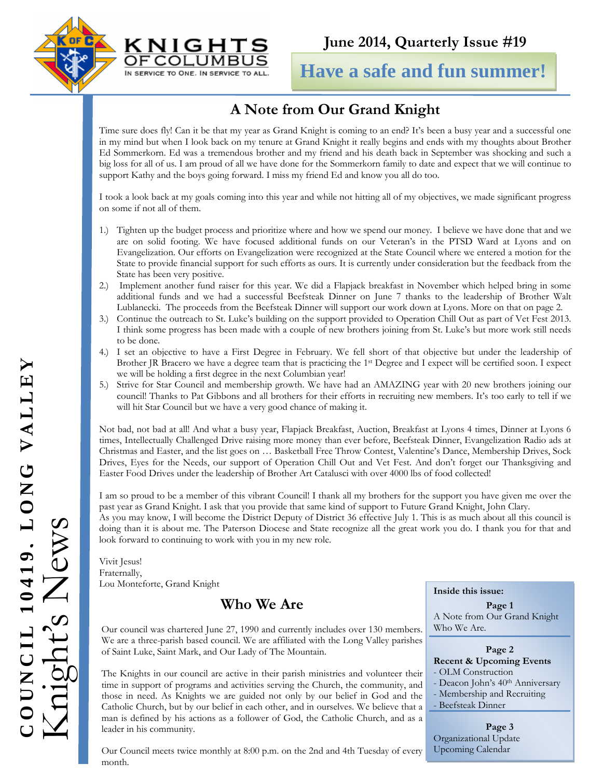



**Have a safe and fun summer!**

# **A Note from Our Grand Knight**

Time sure does fly! Can it be that my year as Grand Knight is coming to an end? It's been a busy year and a successful one in my mind but when I look back on my tenure at Grand Knight it really begins and ends with my thoughts about Brother Ed Sommerkorn. Ed was a tremendous brother and my friend and his death back in September was shocking and such a big loss for all of us. I am proud of all we have done for the Sommerkorn family to date and expect that we will continue to support Kathy and the boys going forward. I miss my friend Ed and know you all do too.

I took a look back at my goals coming into this year and while not hitting all of my objectives, we made significant progress on some if not all of them.

- 1.) Tighten up the budget process and prioritize where and how we spend our money. I believe we have done that and we are on solid footing. We have focused additional funds on our Veteran's in the PTSD Ward at Lyons and on Evangelization. Our efforts on Evangelization were recognized at the State Council where we entered a motion for the State to provide financial support for such efforts as ours. It is currently under consideration but the feedback from the State has been very positive.
- 2.) Implement another fund raiser for this year. We did a Flapjack breakfast in November which helped bring in some additional funds and we had a successful Beefsteak Dinner on June 7 thanks to the leadership of Brother Walt Lublanecki. The proceeds from the Beefsteak Dinner will support our work down at Lyons. More on that on page 2.
- 3.) Continue the outreach to St. Luke's building on the support provided to Operation Chill Out as part of Vet Fest 2013. I think some progress has been made with a couple of new brothers joining from St. Luke's but more work still needs to be done.
- 4.) I set an objective to have a First Degree in February. We fell short of that objective but under the leadership of Brother JR Bracero we have a degree team that is practicing the 1<sup>st</sup> Degree and I expect will be certified soon. I expect we will be holding a first degree in the next Columbian year!
- 5.) Strive for Star Council and membership growth. We have had an AMAZING year with 20 new brothers joining our council! Thanks to Pat Gibbons and all brothers for their efforts in recruiting new members. It's too early to tell if we will hit Star Council but we have a very good chance of making it.

Not bad, not bad at all! And what a busy year, Flapjack Breakfast, Auction, Breakfast at Lyons 4 times, Dinner at Lyons 6 times, Intellectually Challenged Drive raising more money than ever before, Beefsteak Dinner, Evangelization Radio ads at Christmas and Easter, and the list goes on … Basketball Free Throw Contest, Valentine's Dance, Membership Drives, Sock Drives, Eyes for the Needs, our support of Operation Chill Out and Vet Fest. And don't forget our Thanksgiving and Easter Food Drives under the leadership of Brother Art Catalusci with over 4000 lbs of food collected!

I am so proud to be a member of this vibrant Council! I thank all my brothers for the support you have given me over the past year as Grand Knight. I ask that you provide that same kind of support to Future Grand Knight, John Clary.

As you may know, I will become the District Deputy of District 36 effective July 1. This is as much about all this council is doing than it is about me. The Paterson Diocese and State recognize all the great work you do. I thank you for that and look forward to continuing to work with you in my new role.

Vivit Jesus! Fraternally, Lou Monteforte, Grand Knight

## **Who We Are**

Our council was chartered June 27, 1990 and currently includes over 130 members. We are a three-parish based council. We are affiliated with the Long Valley parishes of Saint Luke, Saint Mark, and Our Lady of The Mountain.

The Knights in our council are active in their parish ministries and volunteer their time in support of programs and activities serving the Church, the community, and those in need. As Knights we are guided not only by our belief in God and the Catholic Church, but by our belief in each other, and in ourselves. We believe that a man is defined by his actions as a follower of God, the Catholic Church, and as a leader in his community.

Our Council meets twice monthly at 8:00 p.m. on the 2nd and 4th Tuesday of every month.

#### **Inside this issue:**

**Page 1**  A Note from Our Grand Knight Who We Are.

#### **Page 2 Recent & Upcoming Events**

- OLM Construction
- Deacon John's 40<sup>th</sup> Anniversary
- Membership and Recruiting
- Beefsteak Dinner

**Page 3**  Organizational Update Upcoming Calendar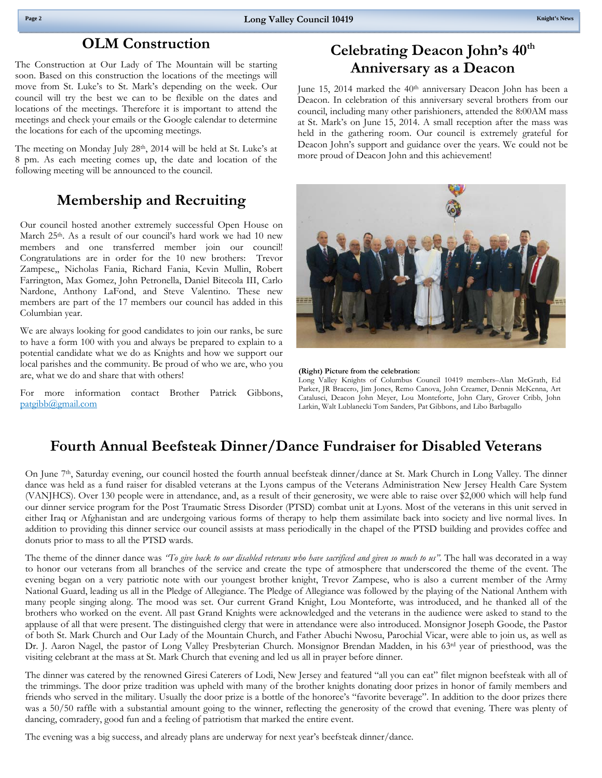#### **OLM Construction**

 council will try the best we can to be flexible on the dates and The Construction at Our Lady of The Mountain will be starting soon. Based on this construction the locations of the meetings will move from St. Luke's to St. Mark's depending on the week. Our locations of the meetings. Therefore it is important to attend the meetings and check your emails or the Google calendar to determine the locations for each of the upcoming meetings.

The meeting on Monday July 28<sup>th</sup>, 2014 will be held at St. Luke's at 8 pm. As each meeting comes up, the date and location of the following meeting will be announced to the council.

### **Membership and Recruiting**

Our council hosted another extremely successful Open House on March 25<sup>th</sup>. As a result of our council's hard work we had 10 new members and one transferred member join our council! Congratulations are in order for the 10 new brothers: Trevor Zampese,, Nicholas Fania, Richard Fania, Kevin Mullin, Robert Farrington, Max Gomez, John Petronella, Daniel Bitecola III, Carlo Nardone, Anthony LaFond, and Steve Valentino. These new members are part of the 17 members our council has added in this Columbian year.

We are always looking for good candidates to join our ranks, be sure to have a form 100 with you and always be prepared to explain to a potential candidate what we do as Knights and how we support our local parishes and the community. Be proud of who we are, who you are, what we do and share that with others!

For more information contact Brother Patrick Gibbons, patgibb@gmail.com

### **Celebrating Deacon John's 40th Anniversary as a Deacon**

June 15, 2014 marked the 40<sup>th</sup> anniversary Deacon John has been a Deacon. In celebration of this anniversary several brothers from our council, including many other parishioners, attended the 8:00AM mass at St. Mark's on June 15, 2014. A small reception after the mass was held in the gathering room. Our council is extremely grateful for Deacon John's support and guidance over the years. We could not be more proud of Deacon John and this achievement!



**(Right) Picture from the celebration:** 

Long Valley Knights of Columbus Council 10419 members–Alan McGrath, Ed Parker, JR Bracero, Jim Jones, Remo Canova, John Creamer, Dennis McKenna, Art Catalusci, Deacon John Meyer, Lou Monteforte, John Clary, Grover Cribb, John Larkin, Walt Lublanecki Tom Sanders, Pat Gibbons, and Libo Barbagallo

### **Fourth Annual Beefsteak Dinner/Dance Fundraiser for Disabled Veterans**

On June 7th, Saturday evening, our council hosted the fourth annual beefsteak dinner/dance at St. Mark Church in Long Valley. The dinner dance was held as a fund raiser for disabled veterans at the Lyons campus of the Veterans Administration New Jersey Health Care System (VANJHCS). Over 130 people were in attendance, and, as a result of their generosity, we were able to raise over \$2,000 which will help fund our dinner service program for the Post Traumatic Stress Disorder (PTSD) combat unit at Lyons. Most of the veterans in this unit served in either Iraq or Afghanistan and are undergoing various forms of therapy to help them assimilate back into society and live normal lives. In addition to providing this dinner service our council assists at mass periodically in the chapel of the PTSD building and provides coffee and donuts prior to mass to all the PTSD wards.

 visiting celebrant at the mass at St. Mark Church that evening and led us all in prayer before dinner. The theme of the dinner dance was *"To give back to our disabled veterans who have sacrificed and given so much to us".* The hall was decorated in a way to honor our veterans from all branches of the service and create the type of atmosphere that underscored the theme of the event. The evening began on a very patriotic note with our youngest brother knight, Trevor Zampese, who is also a current member of the Army National Guard, leading us all in the Pledge of Allegiance. The Pledge of Allegiance was followed by the playing of the National Anthem with many people singing along. The mood was set. Our current Grand Knight, Lou Monteforte, was introduced, and he thanked all of the brothers who worked on the event. All past Grand Knights were acknowledged and the veterans in the audience were asked to stand to the applause of all that were present. The distinguished clergy that were in attendance were also introduced. Monsignor Joseph Goode, the Pastor of both St. Mark Church and Our Lady of the Mountain Church, and Father Abuchi Nwosu, Parochial Vicar, were able to join us, as well as Dr. J. Aaron Nagel, the pastor of Long Valley Presbyterian Church. Monsignor Brendan Madden, in his 63<sup>rd</sup> year of priesthood, was the

The dinner was catered by the renowned Giresi Caterers of Lodi, New Jersey and featured "all you can eat" filet mignon beefsteak with all of the trimmings. The door prize tradition was upheld with many of the brother knights donating door prizes in honor of family members and friends who served in the military. Usually the door prize is a bottle of the honoree's "favorite beverage". In addition to the door prizes there was a 50/50 raffle with a substantial amount going to the winner, reflecting the generosity of the crowd that evening. There was plenty of dancing, comradery, good fun and a feeling of patriotism that marked the entire event.

The evening was a big success, and already plans are underway for next year's beefsteak dinner/dance.